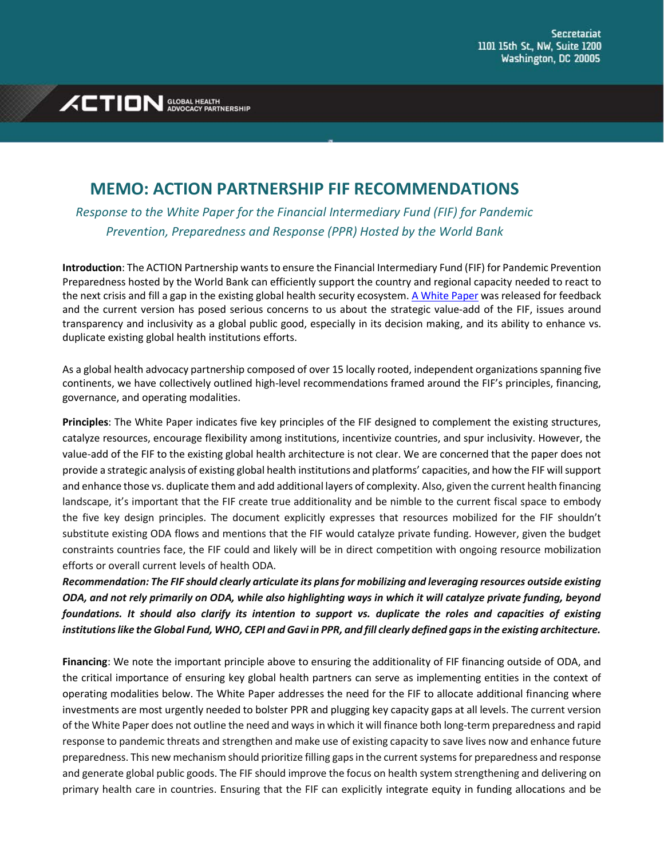## **XCTION** ADVOCACY PARTNERSHIP

## **MEMO: ACTION PARTNERSHIP FIF RECOMMENDATIONS**

*Response to the White Paper for the Financial Intermediary Fund (FIF) for Pandemic Prevention, Preparedness and Response (PPR) Hosted by the World Bank*

**Introduction**: The ACTION Partnership wants to ensure the Financial Intermediary Fund (FIF) for Pandemic Prevention Preparedness hosted by the World Bank can efficiently support the country and regional capacity needed to react to the next crisis and fill a gap in the existing global health security ecosystem[. A White Paper](https://thedocs.worldbank.org/en/doc/018ab1c6b6d8305933661168af757737-0290032022/original/PPR-FIF-WB-White-Paper.pdf) was released for feedback and the current version has posed serious concerns to us about the strategic value-add of the FIF, issues around transparency and inclusivity as a global public good, especially in its decision making, and its ability to enhance vs. duplicate existing global health institutions efforts.

As a global health advocacy partnership composed of over 15 locally rooted, independent organizations spanning five continents, we have collectively outlined high-level recommendations framed around the FIF's principles, financing, governance, and operating modalities.

**Principles**: The White Paper indicates five key principles of the FIF designed to complement the existing structures, catalyze resources, encourage flexibility among institutions, incentivize countries, and spur inclusivity. However, the value-add of the FIF to the existing global health architecture is not clear. We are concerned that the paper does not provide a strategic analysis of existing global health institutions and platforms' capacities, and how the FIF will support and enhance those vs. duplicate them and add additional layers of complexity. Also, given the current health financing landscape, it's important that the FIF create true additionality and be nimble to the current fiscal space to embody the five key design principles. The document explicitly expresses that resources mobilized for the FIF shouldn't substitute existing ODA flows and mentions that the FIF would catalyze private funding. However, given the budget constraints countries face, the FIF could and likely will be in direct competition with ongoing resource mobilization efforts or overall current levels of health ODA.

*Recommendation: The FIF should clearly articulate its plans for mobilizing and leveraging resources outside existing ODA, and not rely primarily on ODA, while also highlighting ways in which it will catalyze private funding, beyond foundations. It should also clarify its intention to support vs. duplicate the roles and capacities of existing institutions like the Global Fund, WHO, CEPI and Gavi in PPR, and fill clearly defined gaps in the existing architecture.*

**Financing**: We note the important principle above to ensuring the additionality of FIF financing outside of ODA, and the critical importance of ensuring key global health partners can serve as implementing entities in the context of operating modalities below. The White Paper addresses the need for the FIF to allocate additional financing where investments are most urgently needed to bolster PPR and plugging key capacity gaps at all levels. The current version of the White Paper does not outline the need and ways in which it will finance both long-term preparedness and rapid response to pandemic threats and strengthen and make use of existing capacity to save lives now and enhance future preparedness. This new mechanism should prioritize filling gaps in the current systems for preparedness and response and generate global public goods. The FIF should improve the focus on health system strengthening and delivering on primary health care in countries. Ensuring that the FIF can explicitly integrate equity in funding allocations and be